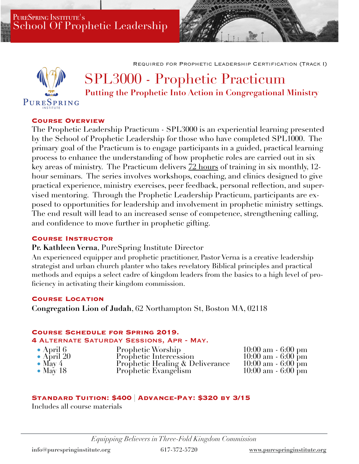PURESPRING INSTITUTE'S School Of Prophetic Leadership

Required for Prophetic Leadership Certification (Track I)



# SPL3000 - Prophetic Practicum **Putting the Prophetic Into Action in Congregational Ministry**

## **Course Overview**

The Prophetic Leadership Practicum - SPL3000 is an experiential learning presented by the School of Prophetic Leadership for those who have completed SPL1000. The primary goal of the Practicum is to engage participants in a guided, practical learning process to enhance the understanding of how prophetic roles are carried out in six key areas of ministry. The Practicum delivers 72 hours of training in six monthly, 12 hour seminars. The series involves workshops, coaching, and clinics designed to give practical experience, ministry exercises, peer feedback, personal reflection, and supervised mentoring. Through the Prophetic Leadership Practicum, participants are exposed to opportunities for leadership and involvement in prophetic ministry settings. The end result will lead to an increased sense of competence, strengthening calling, and confidence to move further in prophetic gifting.

### **Course Instructor**

### **Pr. Kathleen Verna**, PureSpring Institute Director

An experienced equipper and prophetic practitioner, Pastor Verna is a creative leadership strategist and urban church planter who takes revelatory Biblical principles and practical methods and equips a select cadre of kingdom leaders from the basics to a high level of proficiency in activating their kingdom commission.

#### **Course Location**

**Congregation Lion of Judah**, 62 Northampton St, Boston MA, 02118

#### **Course Schedule for Spring 2019.**

#### **4** Alternate Saturday Sessions, Apr - May.

| $\bullet$ April 6  | Prophetic Worship               | $10:00 \text{ am} - 6:00 \text{ pm}$ |
|--------------------|---------------------------------|--------------------------------------|
| $\bullet$ April 20 | Prophetic Intercession          | $10:00 \text{ am} - 6:00 \text{ pm}$ |
| $\bullet$ May 4    | Prophetic Healing & Deliverance | $10:00 \text{ am} - 6:00 \text{ pm}$ |
| $\bullet$ May 18   | Prophetic Evangelism            | $10:00 \text{ am} - 6:00 \text{ pm}$ |

## **Standard Tuition: \$400** | **Advance-Pay: \$320 by 3/15**

Includes all course materials

*Equipping Believers in Three-Fold Kingdom Commission*